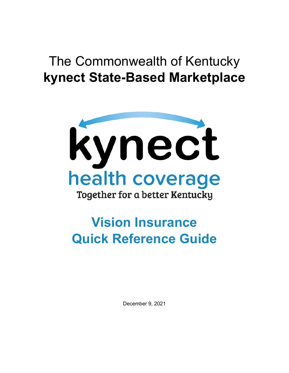## The Commonwealth of Kentucky **kynect State-Based Marketplace**



# **Vision Insurance Quick Reference Guide**

December 9, 2021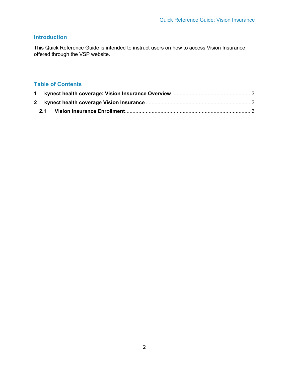## **Introduction**

This Quick Reference Guide is intended to instruct users on how to access Vision Insurance offered through the VSP website.

### **Table of Contents**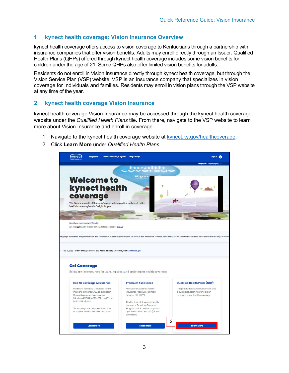#### <span id="page-2-0"></span>**1 kynect health coverage: Vision Insurance Overview**

kynect health coverage offers access to vision coverage to Kentuckians through a partnership with insurance companies that offer vision benefits. Adults may enroll directly through an Issuer. Qualified Health Plans (QHPs) offered through kynect health coverage includes some vision benefits for children under the age of 21. Some QHPs also offer limited vision benefits for adults.

Residents do not enroll in Vision Insurance directly through kynect health coverage, but through the Vision Service Plan (VSP) website. VSP is an insurance company that specializes in vision coverage for Individuals and families. Residents may enroll in vision plans through the VSP website at any time of the year.

#### <span id="page-2-1"></span>**2 kynect health coverage Vision Insurance**

kynect health coverage Vision Insurance may be accessed through the kynect health coverage website under the *Qualified Health Plans* tile. From there, navigate to the VSP website to learn more about Vision Insurance and enroll in coverage.

- 1. Navigate to the kynect health coverage website at [kynect.ky.gov/healthcoverage.](https://kynect.ky.gov/healthcoverage)
- 2. Click **Learn More** under *Qualified Health Plans*.

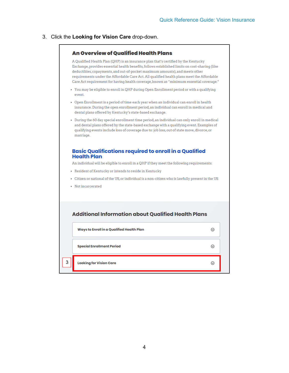#### 3. Click the **Looking for Vision Care** drop-down.

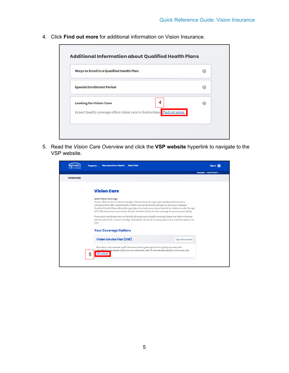4. Click **Find out more** for additional information on Vision Insurance.

| Ways to Enroll in a Qualified Health Plan                               | ⊙ |
|-------------------------------------------------------------------------|---|
| <b>Special Enrollment Period</b>                                        | ⊙ |
| 4<br><b>Looking for Vision Care</b>                                     | ര |
| kynect health coverage offers vision care to Kentuckians Find out more. |   |

5. Read the *Vision Care Overview* and click the **VSP website** hyperlink to navigate to the VSP website.

|                    | <b>Reps, kynectors, &amp; Agents</b><br><b>Help &amp; FAQs</b><br>Programs v                                                                                                                                                                                                                                                                                                                                                                                         | Sian In                        |
|--------------------|----------------------------------------------------------------------------------------------------------------------------------------------------------------------------------------------------------------------------------------------------------------------------------------------------------------------------------------------------------------------------------------------------------------------------------------------------------------------|--------------------------------|
|                    |                                                                                                                                                                                                                                                                                                                                                                                                                                                                      | Languages: English (English) v |
| <b>VISION CARE</b> |                                                                                                                                                                                                                                                                                                                                                                                                                                                                      |                                |
|                    | <b>Vision Care</b><br><b>Adult Vision Coverage:</b><br>kynect offers access to vision coverage to Kentuckians through a partnership with insurance<br>companies that offer vision benefits. Adults can enroll directly through an insurance company.<br>Qualified Health Plans offered through kynect include some vision benefits for children under the age<br>of 21. We recommend you review the plan benefits to find the best coverage for you and your family. |                                |
|                    | Vision plan enrollments are not directly through kynect health coverage, please see below to browse<br>options and enroll in vision coverage. Individuals can enroll in vision plans at any time throughout the<br>year.                                                                                                                                                                                                                                             |                                |
|                    | <b>Your Coverage Options</b>                                                                                                                                                                                                                                                                                                                                                                                                                                         |                                |
|                    | <b>Vision Service Plan (VSP)</b><br>VSO individual vision plans                                                                                                                                                                                                                                                                                                                                                                                                      |                                |
|                    | As a vision care member, you'll receive access to great eye doctors, quality eye wear, and<br>affordability you deserve, all at low out-of-pocket costs. To browse and enroll in vision care, visit<br><b>VSP</b> website<br>5                                                                                                                                                                                                                                       |                                |
|                    |                                                                                                                                                                                                                                                                                                                                                                                                                                                                      |                                |